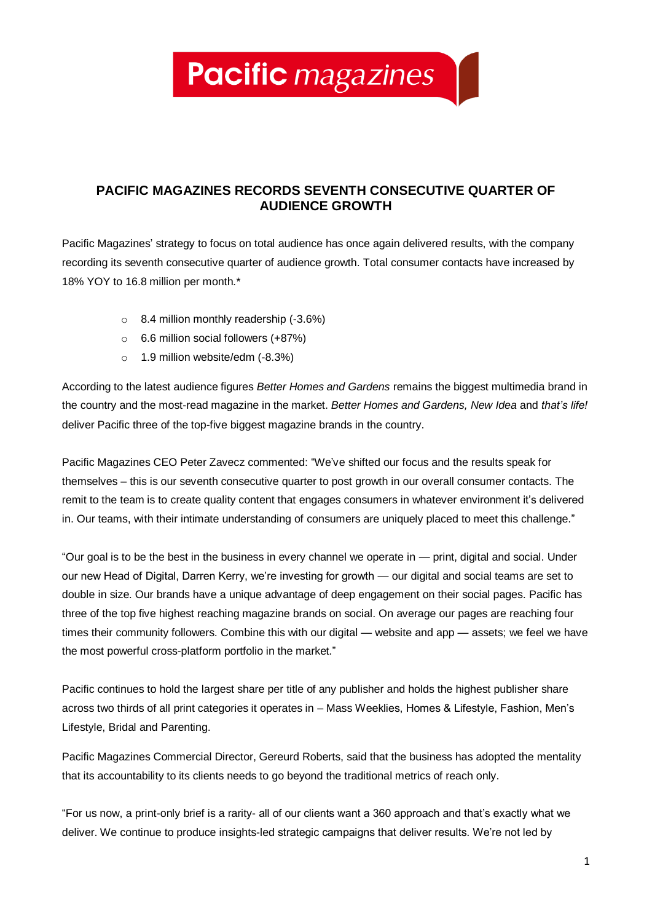**Pacific** magazines

## **PACIFIC MAGAZINES RECORDS SEVENTH CONSECUTIVE QUARTER OF AUDIENCE GROWTH**

Pacific Magazines' strategy to focus on total audience has once again delivered results, with the company recording its seventh consecutive quarter of audience growth. Total consumer contacts have increased by 18% YOY to 16.8 million per month.\*

- o 8.4 million monthly readership (-3.6%)
- o 6.6 million social followers (+87%)
- o 1.9 million website/edm (-8.3%)

According to the latest audience figures *Better Homes and Gardens* remains the biggest multimedia brand in the country and the most-read magazine in the market. *Better Homes and Gardens, New Idea* and *that's life!*  deliver Pacific three of the top-five biggest magazine brands in the country.

Pacific Magazines CEO Peter Zavecz commented: "We've shifted our focus and the results speak for themselves – this is our seventh consecutive quarter to post growth in our overall consumer contacts. The remit to the team is to create quality content that engages consumers in whatever environment it's delivered in. Our teams, with their intimate understanding of consumers are uniquely placed to meet this challenge."

"Our goal is to be the best in the business in every channel we operate in — print, digital and social. Under our new Head of Digital, Darren Kerry, we're investing for growth — our digital and social teams are set to double in size. Our brands have a unique advantage of deep engagement on their social pages. Pacific has three of the top five highest reaching magazine brands on social. On average our pages are reaching four times their community followers. Combine this with our digital — website and app — assets; we feel we have the most powerful cross-platform portfolio in the market."

Pacific continues to hold the largest share per title of any publisher and holds the highest publisher share across two thirds of all print categories it operates in – Mass Weeklies, Homes & Lifestyle, Fashion, Men's Lifestyle, Bridal and Parenting.

Pacific Magazines Commercial Director, Gereurd Roberts, said that the business has adopted the mentality that its accountability to its clients needs to go beyond the traditional metrics of reach only.

"For us now, a print-only brief is a rarity- all of our clients want a 360 approach and that's exactly what we deliver. We continue to produce insights-led strategic campaigns that deliver results. We're not led by